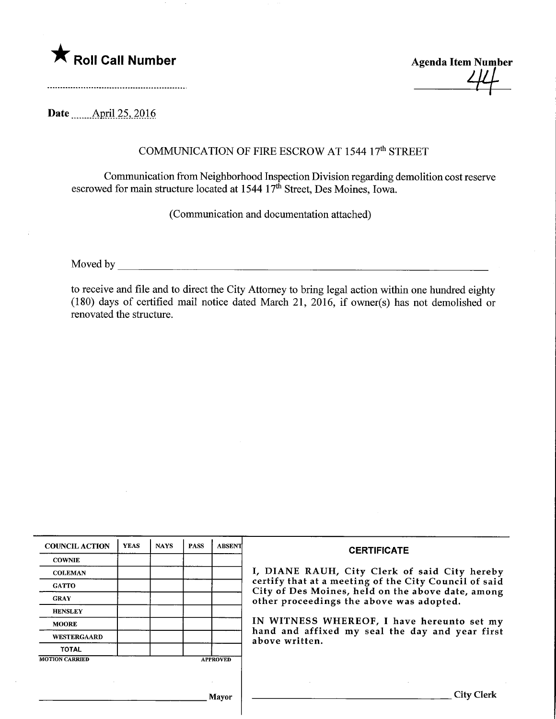

Agenda Item Number ^

Date ........ April 25, 2016

## COMMUNICATION OF FIRE ESCROW AT 1544 17<sup>th</sup> STREET

Communication from Neighborhood Inspection Division regarding demolition cost reserve escrowed for main structure located at 1544 17<sup>th</sup> Street, Des Moines, Iowa.

(Communication and documentation attached)

Moved by <u>the contract of the contract of the contract of the contract of the contract of the contract of the contract of the contract of the contract of the contract of the contract of the contract of the contract of the </u>

to receive and file and to direct the City Attorney to bring legal action within one hundred eighty (180) days of certified mail notice dated March 21, 2016, if owner(s) has not demolished or renovated the structure.

| <b>COUNCIL ACTION</b> | <b>YEAS</b> | <b>NAYS</b> | <b>PASS</b> | ABSENT          | <b>CERTIFICATE</b>                                                                                                                                                                                                                                                                                                         |
|-----------------------|-------------|-------------|-------------|-----------------|----------------------------------------------------------------------------------------------------------------------------------------------------------------------------------------------------------------------------------------------------------------------------------------------------------------------------|
| <b>COWNIE</b>         |             |             |             |                 | I, DIANE RAUH, City Clerk of said City hereby<br>certify that at a meeting of the City Council of said<br>City of Des Moines, held on the above date, among<br>other proceedings the above was adopted.<br>IN WITNESS WHEREOF, I have hereunto set my<br>hand and affixed my seal the day and year first<br>above written. |
| <b>COLEMAN</b>        |             |             |             |                 |                                                                                                                                                                                                                                                                                                                            |
| <b>GATTO</b>          |             |             |             |                 |                                                                                                                                                                                                                                                                                                                            |
| <b>GRAY</b>           |             |             |             |                 |                                                                                                                                                                                                                                                                                                                            |
| <b>HENSLEY</b>        |             |             |             |                 |                                                                                                                                                                                                                                                                                                                            |
| <b>MOORE</b>          |             |             |             |                 |                                                                                                                                                                                                                                                                                                                            |
| WESTERGAARD           |             |             |             |                 |                                                                                                                                                                                                                                                                                                                            |
| <b>TOTAL</b>          |             |             |             |                 |                                                                                                                                                                                                                                                                                                                            |
| <b>MOTION CARRIED</b> |             |             |             | <b>APPROVED</b> |                                                                                                                                                                                                                                                                                                                            |
|                       |             |             |             |                 |                                                                                                                                                                                                                                                                                                                            |
|                       |             |             |             |                 |                                                                                                                                                                                                                                                                                                                            |
| Mayor                 |             |             |             |                 | City Clerk                                                                                                                                                                                                                                                                                                                 |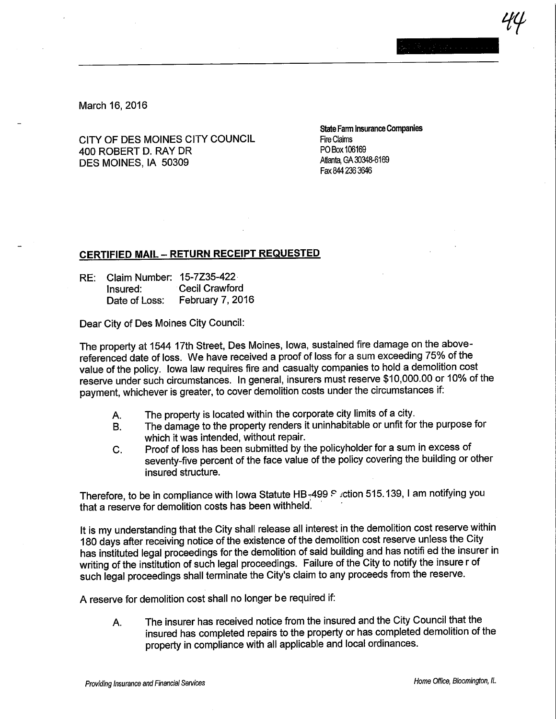iY<br>I

March 16, 2016

CITY OF DES MOINES CITY COUNCIL<br>100 POBERT DURAY DR 400 ROBERT D. RAY DR PO Box 106169 DES MOINES, IA 50309

State Farm Insurance Companies<br>Fire Claims Fax 844 236 3646

## CERTIFIED MAIL- RETURN RECEIPT REQUESTED

RE: Claim Number: 15-7Z35-422 Insured: Cecil Crawford<br>Date of Loss: February 7, 201 February 7, 2016

Dear City of Des Moines City Council:

The property at 1544 17th Street, Des Moines, Iowa, sustained fire damage on the abovereferenced date of loss. We have received a proof of loss for a sum exceeding 75% of the value of the policy. Iowa law requires fire and casualty companies to hold a demolition cost reserve under such circumstances. In general, insurers must reserve \$10,000.00 or 10% of the payment, whichever is greater, to cover demolition costs under the circumstances if:

- A. The property is located within the corporate city limits of a city.<br>B. The damage to the property renders it uninhabitable or unfit for
- The damage to the property renders it uninhabitable or unfit for the purpose for which it was intended, without repair.
- C. Proof of loss has been submitted by the policyholder for a sum in excess of seventy-five percent of the face value of the policy covering the building or other insured structure.

Therefore, to be in compliance with Iowa Statute HB-499 Section 515.139, I am notifying you that a reserve for demolition costs has been withheld.

It is my understanding that the City shall release all interest in the demolition cost reserve within 180 days after receiving notice of the existence of the demolition cost reserve unless the City has instituted legal proceedings for the demolition of said building and has notifi ed the insurer in writing of the institution of such legal proceedings. Failure of the City to notify the insure r of such legal proceedings shall terminate the City's claim to any proceeds from the reserve.

A reserve for demolition cost shall no longer be required if:

A. The insurer has received notice from the insured and the City Council that the insured has completed repairs to the property or has completed demolition of the property in compliance with all applicable and local ordinances.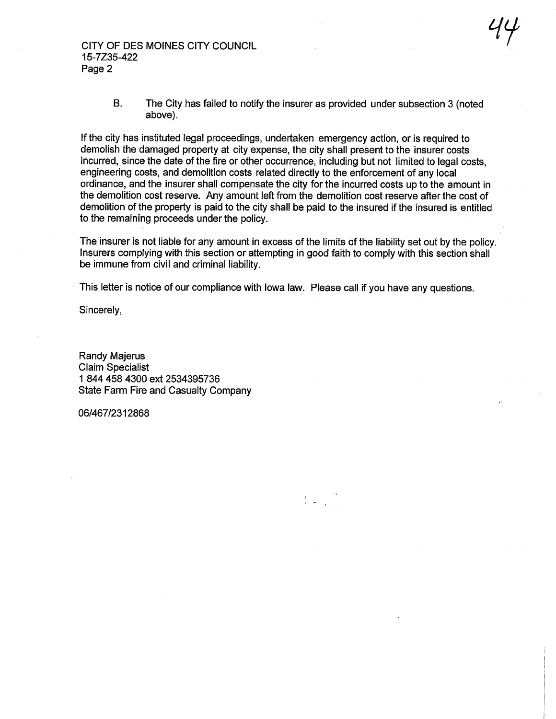CITY OF DES MOINES CITY COUNCIL 15-7Z35-422 Page 2

> B. The City has failed to notify the insurer as provided under subsection 3 (noted above).

 $44^\circ$ 

If the city has instituted legal proceedings, undertaken emergency action, or is required to demolish the damaged property at city expense, the city shall present to the insurer costs incurred, since the date of the fire or other occurrence, including but not limited to legal costs, engineering costs, and demolition costs related directly to the enforcement of any local ordinance, and the insurer shall compensate the city for the incurred costs up to the amount in the demolition cost reserve. Any amount left from the demolition cost reserve after the cost of demolition of the property is paid to the city shall be paid to the insured if the insured is entitled to the remaining proceeds under the policy.

The insurer is not liable for any amount in excess of the limits of the liability set out by the policy. Insurers complying with this section or attempting in good faith to comply with this section shall be immune from civil and criminal liability.

This letter is notice of our compliance with Iowa law. Please call if you have any questions.

Sincerely,

Randy Majerus Claim Specialist 1 844 458 4300 ext 2534395736 State Farm Fire and Casualty Company

06/467/2312868